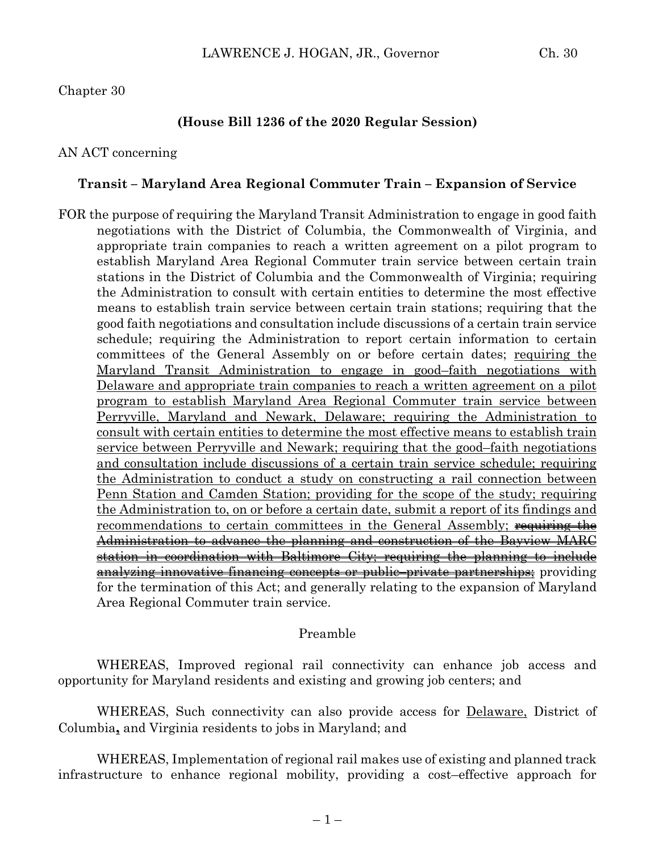### Chapter 30

### **(House Bill 1236 of the 2020 Regular Session)**

#### AN ACT concerning

#### **Transit – Maryland Area Regional Commuter Train – Expansion of Service**

FOR the purpose of requiring the Maryland Transit Administration to engage in good faith negotiations with the District of Columbia, the Commonwealth of Virginia, and appropriate train companies to reach a written agreement on a pilot program to establish Maryland Area Regional Commuter train service between certain train stations in the District of Columbia and the Commonwealth of Virginia; requiring the Administration to consult with certain entities to determine the most effective means to establish train service between certain train stations; requiring that the good faith negotiations and consultation include discussions of a certain train service schedule; requiring the Administration to report certain information to certain committees of the General Assembly on or before certain dates; requiring the Maryland Transit Administration to engage in good–faith negotiations with Delaware and appropriate train companies to reach a written agreement on a pilot program to establish Maryland Area Regional Commuter train service between Perryville, Maryland and Newark, Delaware; requiring the Administration to consult with certain entities to determine the most effective means to establish train service between Perryville and Newark; requiring that the good–faith negotiations and consultation include discussions of a certain train service schedule; requiring the Administration to conduct a study on constructing a rail connection between Penn Station and Camden Station; providing for the scope of the study; requiring the Administration to, on or before a certain date, submit a report of its findings and recommendations to certain committees in the General Assembly; requiring the Administration to advance the planning and construction of the Bayview MARC station in coordination with Baltimore City; requiring the planning to include analyzing innovative financing concepts or public–private partnerships; providing for the termination of this Act; and generally relating to the expansion of Maryland Area Regional Commuter train service.

#### Preamble

WHEREAS, Improved regional rail connectivity can enhance job access and opportunity for Maryland residents and existing and growing job centers; and

WHEREAS, Such connectivity can also provide access for Delaware, District of Columbia**,** and Virginia residents to jobs in Maryland; and

WHEREAS, Implementation of regional rail makes use of existing and planned track infrastructure to enhance regional mobility, providing a cost–effective approach for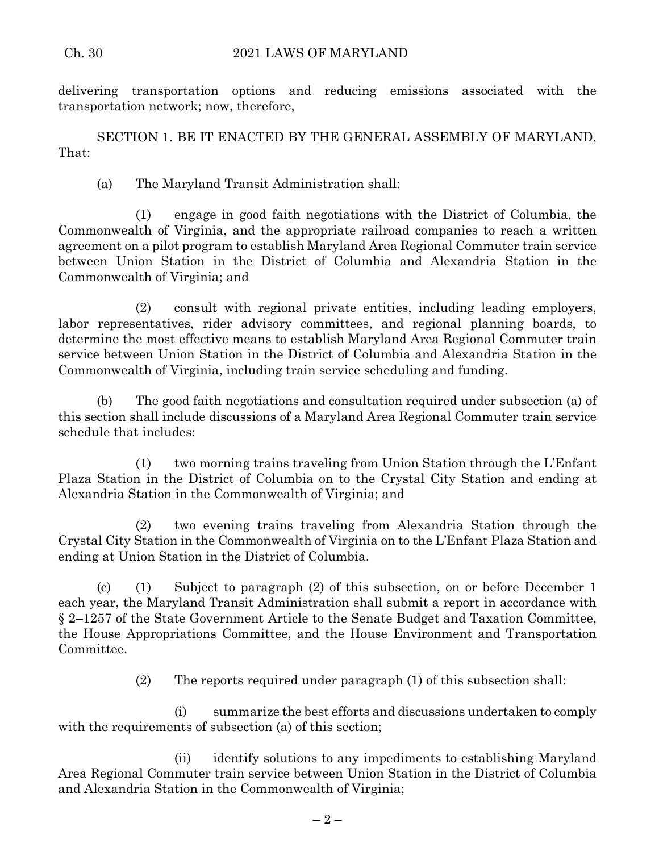delivering transportation options and reducing emissions associated with the transportation network; now, therefore,

SECTION 1. BE IT ENACTED BY THE GENERAL ASSEMBLY OF MARYLAND, That:

(a) The Maryland Transit Administration shall:

(1) engage in good faith negotiations with the District of Columbia, the Commonwealth of Virginia, and the appropriate railroad companies to reach a written agreement on a pilot program to establish Maryland Area Regional Commuter train service between Union Station in the District of Columbia and Alexandria Station in the Commonwealth of Virginia; and

(2) consult with regional private entities, including leading employers, labor representatives, rider advisory committees, and regional planning boards, to determine the most effective means to establish Maryland Area Regional Commuter train service between Union Station in the District of Columbia and Alexandria Station in the Commonwealth of Virginia, including train service scheduling and funding.

(b) The good faith negotiations and consultation required under subsection (a) of this section shall include discussions of a Maryland Area Regional Commuter train service schedule that includes:

(1) two morning trains traveling from Union Station through the L'Enfant Plaza Station in the District of Columbia on to the Crystal City Station and ending at Alexandria Station in the Commonwealth of Virginia; and

(2) two evening trains traveling from Alexandria Station through the Crystal City Station in the Commonwealth of Virginia on to the L'Enfant Plaza Station and ending at Union Station in the District of Columbia.

(c) (1) Subject to paragraph (2) of this subsection, on or before December 1 each year, the Maryland Transit Administration shall submit a report in accordance with § 2–1257 of the State Government Article to the Senate Budget and Taxation Committee, the House Appropriations Committee, and the House Environment and Transportation Committee.

(2) The reports required under paragraph (1) of this subsection shall:

(i) summarize the best efforts and discussions undertaken to comply with the requirements of subsection (a) of this section;

(ii) identify solutions to any impediments to establishing Maryland Area Regional Commuter train service between Union Station in the District of Columbia and Alexandria Station in the Commonwealth of Virginia;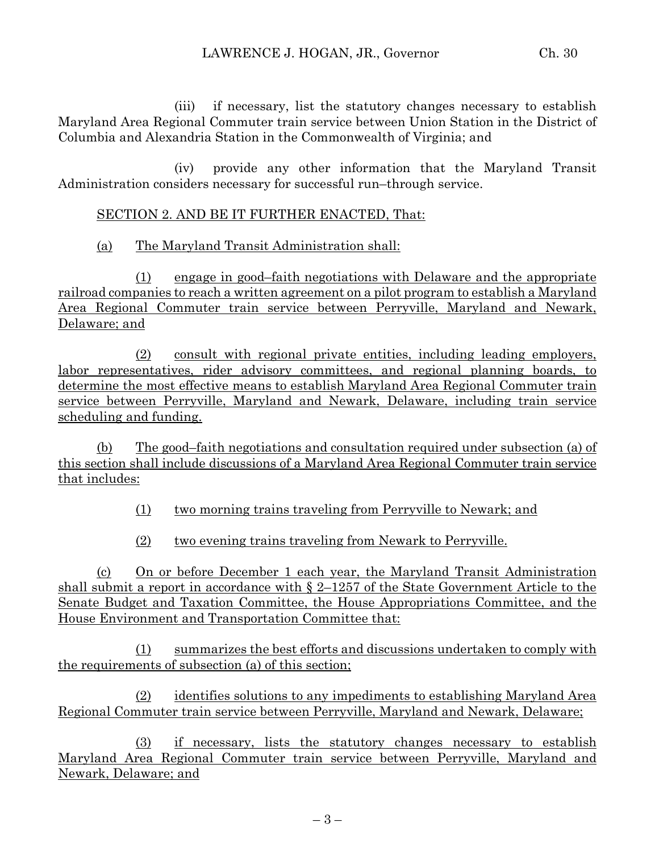(iii) if necessary, list the statutory changes necessary to establish Maryland Area Regional Commuter train service between Union Station in the District of Columbia and Alexandria Station in the Commonwealth of Virginia; and

(iv) provide any other information that the Maryland Transit Administration considers necessary for successful run–through service.

## SECTION 2. AND BE IT FURTHER ENACTED, That:

## (a) The Maryland Transit Administration shall:

(1) engage in good–faith negotiations with Delaware and the appropriate railroad companies to reach a written agreement on a pilot program to establish a Maryland Area Regional Commuter train service between Perryville, Maryland and Newark, Delaware; and

(2) consult with regional private entities, including leading employers, labor representatives, rider advisory committees, and regional planning boards, to determine the most effective means to establish Maryland Area Regional Commuter train service between Perryville, Maryland and Newark, Delaware, including train service scheduling and funding.

(b) The good–faith negotiations and consultation required under subsection (a) of this section shall include discussions of a Maryland Area Regional Commuter train service that includes:

(1) two morning trains traveling from Perryville to Newark; and

(2) two evening trains traveling from Newark to Perryville.

(c) On or before December 1 each year, the Maryland Transit Administration shall submit a report in accordance with  $\S 2$ –1257 of the State Government Article to the Senate Budget and Taxation Committee, the House Appropriations Committee, and the House Environment and Transportation Committee that:

(1) summarizes the best efforts and discussions undertaken to comply with the requirements of subsection (a) of this section;

(2) identifies solutions to any impediments to establishing Maryland Area Regional Commuter train service between Perryville, Maryland and Newark, Delaware;

(3) if necessary, lists the statutory changes necessary to establish Maryland Area Regional Commuter train service between Perryville, Maryland and Newark, Delaware; and